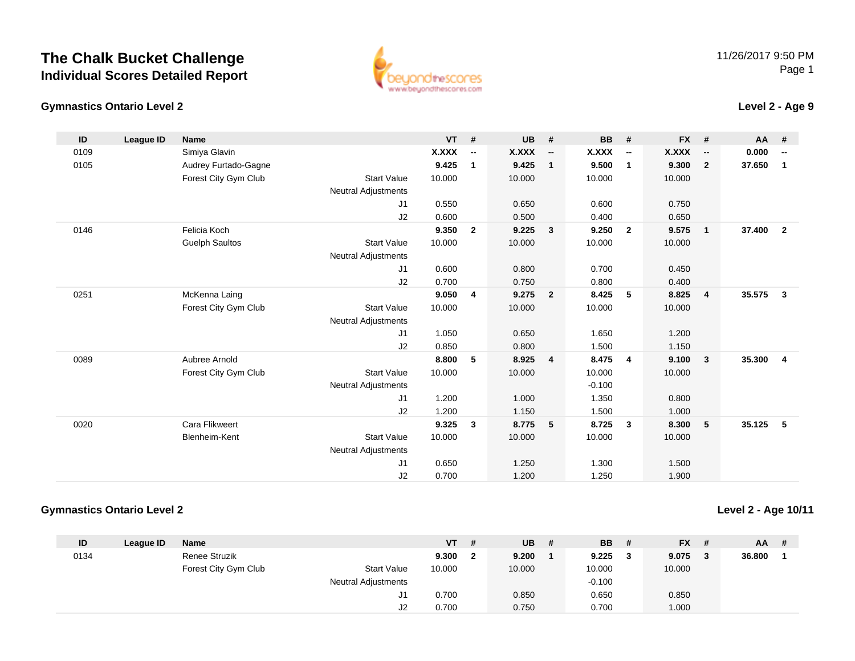## **The Chalk Bucket ChallengeIndividual Scores Detailed Report**



#### **Gymnastics Ontario Level 2**

### **Level 2 - Age 9**

| ID   | League ID | <b>Name</b>           |                            | <b>VT</b>    | #              | <b>UB</b>    | #                        | <b>BB</b> | #                        | <b>FX</b> | #                        | AA #   |                          |
|------|-----------|-----------------------|----------------------------|--------------|----------------|--------------|--------------------------|-----------|--------------------------|-----------|--------------------------|--------|--------------------------|
| 0109 |           | Simiya Glavin         |                            | <b>X.XXX</b> | $\sim$         | <b>X.XXX</b> | $\overline{\phantom{a}}$ | X.XXX     | $\overline{\phantom{a}}$ | X.XXX     | $\overline{\phantom{a}}$ | 0.000  | $\overline{\phantom{a}}$ |
| 0105 |           | Audrey Furtado-Gagne  |                            | 9.425        | $\mathbf{1}$   | 9.425        | $\mathbf{1}$             | 9.500     | $\mathbf 1$              | 9.300     | $\overline{2}$           | 37.650 | $\mathbf{1}$             |
|      |           | Forest City Gym Club  | <b>Start Value</b>         | 10.000       |                | 10.000       |                          | 10.000    |                          | 10.000    |                          |        |                          |
|      |           |                       | <b>Neutral Adjustments</b> |              |                |              |                          |           |                          |           |                          |        |                          |
|      |           |                       | J1                         | 0.550        |                | 0.650        |                          | 0.600     |                          | 0.750     |                          |        |                          |
|      |           |                       | J2                         | 0.600        |                | 0.500        |                          | 0.400     |                          | 0.650     |                          |        |                          |
| 0146 |           | Felicia Koch          |                            | 9.350        | $\overline{2}$ | 9.225        | $\overline{\mathbf{3}}$  | 9.250     | $\overline{2}$           | 9.575     | $\mathbf{1}$             | 37.400 | $\overline{\mathbf{2}}$  |
|      |           | <b>Guelph Saultos</b> | <b>Start Value</b>         | 10.000       |                | 10.000       |                          | 10.000    |                          | 10.000    |                          |        |                          |
|      |           |                       | <b>Neutral Adjustments</b> |              |                |              |                          |           |                          |           |                          |        |                          |
|      |           |                       | J1                         | 0.600        |                | 0.800        |                          | 0.700     |                          | 0.450     |                          |        |                          |
|      |           |                       | J2                         | 0.700        |                | 0.750        |                          | 0.800     |                          | 0.400     |                          |        |                          |
| 0251 |           | McKenna Laing         |                            | 9.050        | $\overline{4}$ | 9.275        | $\overline{\mathbf{2}}$  | 8.425     | 5                        | 8.825     | $\overline{4}$           | 35.575 | $\mathbf{3}$             |
|      |           | Forest City Gym Club  | <b>Start Value</b>         | 10.000       |                | 10.000       |                          | 10.000    |                          | 10.000    |                          |        |                          |
|      |           |                       | <b>Neutral Adjustments</b> |              |                |              |                          |           |                          |           |                          |        |                          |
|      |           |                       | J1                         | 1.050        |                | 0.650        |                          | 1.650     |                          | 1.200     |                          |        |                          |
|      |           |                       | J2                         | 0.850        |                | 0.800        |                          | 1.500     |                          | 1.150     |                          |        |                          |
| 0089 |           | Aubree Arnold         |                            | 8.800        | 5              | 8.925        | $\overline{4}$           | 8.475     | 4                        | 9.100     | $\mathbf{3}$             | 35.300 | $\overline{4}$           |
|      |           | Forest City Gym Club  | <b>Start Value</b>         | 10.000       |                | 10.000       |                          | 10.000    |                          | 10.000    |                          |        |                          |
|      |           |                       | <b>Neutral Adjustments</b> |              |                |              |                          | $-0.100$  |                          |           |                          |        |                          |
|      |           |                       | J <sub>1</sub>             | 1.200        |                | 1.000        |                          | 1.350     |                          | 0.800     |                          |        |                          |
|      |           |                       | J2                         | 1.200        |                | 1.150        |                          | 1.500     |                          | 1.000     |                          |        |                          |
| 0020 |           | Cara Flikweert        |                            | 9.325        | $\mathbf{3}$   | 8.775        | 5                        | 8.725     | 3                        | 8.300     | 5                        | 35.125 | -5                       |
|      |           | Blenheim-Kent         | <b>Start Value</b>         | 10.000       |                | 10.000       |                          | 10.000    |                          | 10.000    |                          |        |                          |
|      |           |                       | <b>Neutral Adjustments</b> |              |                |              |                          |           |                          |           |                          |        |                          |
|      |           |                       | J1                         | 0.650        |                | 1.250        |                          | 1.300     |                          | 1.500     |                          |        |                          |
|      |           |                       | J <sub>2</sub>             | 0.700        |                | 1.200        |                          | 1.250     |                          | 1.900     |                          |        |                          |

#### **Gymnastics Ontario Level 2**

**Level 2 - Age 10/11**

| ID   | League ID | <b>Name</b>          |                            | VT     | -# | <b>UB</b> | # | <b>BB</b> | # | $FX$ # | $AA$ # |  |
|------|-----------|----------------------|----------------------------|--------|----|-----------|---|-----------|---|--------|--------|--|
| 0134 |           | Renee Struzik        |                            | 9.300  | -2 | 9.200     |   | 9.225     |   | 9.075  | 36.800 |  |
|      |           | Forest City Gym Club | <b>Start Value</b>         | 10.000 |    | 10.000    |   | 10.000    |   | 10.000 |        |  |
|      |           |                      | <b>Neutral Adjustments</b> |        |    |           |   | $-0.100$  |   |        |        |  |
|      |           |                      | J1                         | 0.700  |    | 0.850     |   | 0.650     |   | 0.850  |        |  |
|      |           |                      | J2                         | 0.700  |    | 0.750     |   | 0.700     |   | 1.000  |        |  |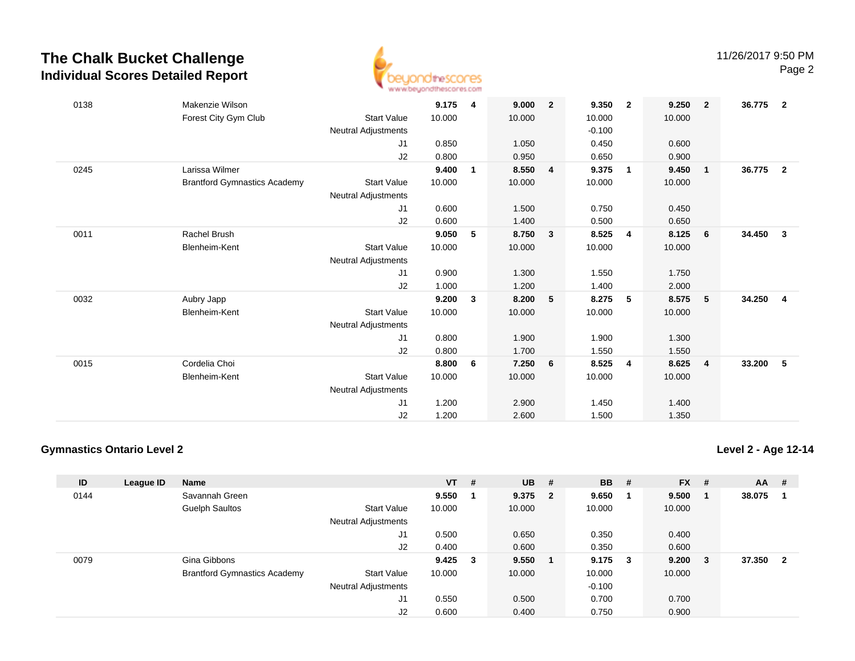## **The Chalk Bucket ChallengeIndividual Scores Detailed Report**



| 0138 | Makenzie Wilson                     |                            | 9.175  | $\overline{\mathbf{4}}$ | 9.000  | $\overline{2}$ | 9.350    | $\overline{2}$           | 9.250  | $\overline{\mathbf{2}}$ | 36.775 | $\overline{\mathbf{2}}$ |
|------|-------------------------------------|----------------------------|--------|-------------------------|--------|----------------|----------|--------------------------|--------|-------------------------|--------|-------------------------|
|      | Forest City Gym Club                | <b>Start Value</b>         | 10.000 |                         | 10.000 |                | 10.000   |                          | 10.000 |                         |        |                         |
|      |                                     | Neutral Adjustments        |        |                         |        |                | $-0.100$ |                          |        |                         |        |                         |
|      |                                     | J1                         | 0.850  |                         | 1.050  |                | 0.450    |                          | 0.600  |                         |        |                         |
|      |                                     | J2                         | 0.800  |                         | 0.950  |                | 0.650    |                          | 0.900  |                         |        |                         |
| 0245 | Larissa Wilmer                      |                            | 9.400  | 1                       | 8.550  | 4              | 9.375    | $\overline{\phantom{0}}$ | 9.450  | $\overline{1}$          | 36.775 | $\overline{\mathbf{2}}$ |
|      | <b>Brantford Gymnastics Academy</b> | <b>Start Value</b>         | 10.000 |                         | 10.000 |                | 10.000   |                          | 10.000 |                         |        |                         |
|      |                                     | Neutral Adjustments        |        |                         |        |                |          |                          |        |                         |        |                         |
|      |                                     | J1                         | 0.600  |                         | 1.500  |                | 0.750    |                          | 0.450  |                         |        |                         |
|      |                                     | J2                         | 0.600  |                         | 1.400  |                | 0.500    |                          | 0.650  |                         |        |                         |
| 0011 | Rachel Brush                        |                            | 9.050  | 5                       | 8.750  | $\mathbf{3}$   | 8.525    | $\overline{4}$           | 8.125  | $6\phantom{.0}6$        | 34.450 | $\overline{\mathbf{3}}$ |
|      | Blenheim-Kent                       | <b>Start Value</b>         | 10.000 |                         | 10.000 |                | 10.000   |                          | 10.000 |                         |        |                         |
|      |                                     | Neutral Adjustments        |        |                         |        |                |          |                          |        |                         |        |                         |
|      |                                     | J1                         | 0.900  |                         | 1.300  |                | 1.550    |                          | 1.750  |                         |        |                         |
|      |                                     | J2                         | 1.000  |                         | 1.200  |                | 1.400    |                          | 2.000  |                         |        |                         |
| 0032 | Aubry Japp                          |                            | 9.200  | 3                       | 8.200  | 5              | 8.275    | 5                        | 8.575  | 5                       | 34.250 | $\overline{4}$          |
|      | Blenheim-Kent                       | <b>Start Value</b>         | 10.000 |                         | 10.000 |                | 10.000   |                          | 10.000 |                         |        |                         |
|      |                                     | Neutral Adjustments        |        |                         |        |                |          |                          |        |                         |        |                         |
|      |                                     | J1                         | 0.800  |                         | 1.900  |                | 1.900    |                          | 1.300  |                         |        |                         |
|      |                                     | J2                         | 0.800  |                         | 1.700  |                | 1.550    |                          | 1.550  |                         |        |                         |
| 0015 | Cordelia Choi                       |                            | 8.800  | 6                       | 7.250  | 6              | 8.525    | 4                        | 8.625  | $\overline{4}$          | 33.200 | - 5                     |
|      | Blenheim-Kent                       | <b>Start Value</b>         | 10.000 |                         | 10.000 |                | 10.000   |                          | 10.000 |                         |        |                         |
|      |                                     | <b>Neutral Adjustments</b> |        |                         |        |                |          |                          |        |                         |        |                         |
|      |                                     | J1                         | 1.200  |                         | 2.900  |                | 1.450    |                          | 1.400  |                         |        |                         |
|      |                                     | J2                         | 1.200  |                         | 2.600  |                | 1.500    |                          | 1.350  |                         |        |                         |

#### **Gymnastics Ontario Level 2**

**Level 2 - Age 12-14**

| ID   | League ID | <b>Name</b>                         |                            | $VT$ # |     | <b>UB</b> | #   | <b>BB</b> | # | $FX$ # |   | $AA$ # |                          |
|------|-----------|-------------------------------------|----------------------------|--------|-----|-----------|-----|-----------|---|--------|---|--------|--------------------------|
| 0144 |           | Savannah Green                      |                            | 9.550  |     | 9.375     | - 2 | 9.650     |   | 9.500  |   | 38.075 |                          |
|      |           | Guelph Saultos                      | <b>Start Value</b>         | 10.000 |     | 10.000    |     | 10.000    |   | 10.000 |   |        |                          |
|      |           |                                     | <b>Neutral Adjustments</b> |        |     |           |     |           |   |        |   |        |                          |
|      |           |                                     | J1                         | 0.500  |     | 0.650     |     | 0.350     |   | 0.400  |   |        |                          |
|      |           |                                     | J2                         | 0.400  |     | 0.600     |     | 0.350     |   | 0.600  |   |        |                          |
| 0079 |           | Gina Gibbons                        |                            | 9.425  | - 3 | 9.550     | - 1 | 9.175     | 3 | 9.200  | 3 | 37.350 | $\overline{\phantom{a}}$ |
|      |           | <b>Brantford Gymnastics Academy</b> | <b>Start Value</b>         | 10.000 |     | 10.000    |     | 10.000    |   | 10.000 |   |        |                          |
|      |           |                                     | <b>Neutral Adjustments</b> |        |     |           |     | $-0.100$  |   |        |   |        |                          |
|      |           |                                     | J1                         | 0.550  |     | 0.500     |     | 0.700     |   | 0.700  |   |        |                          |
|      |           |                                     | J2                         | 0.600  |     | 0.400     |     | 0.750     |   | 0.900  |   |        |                          |